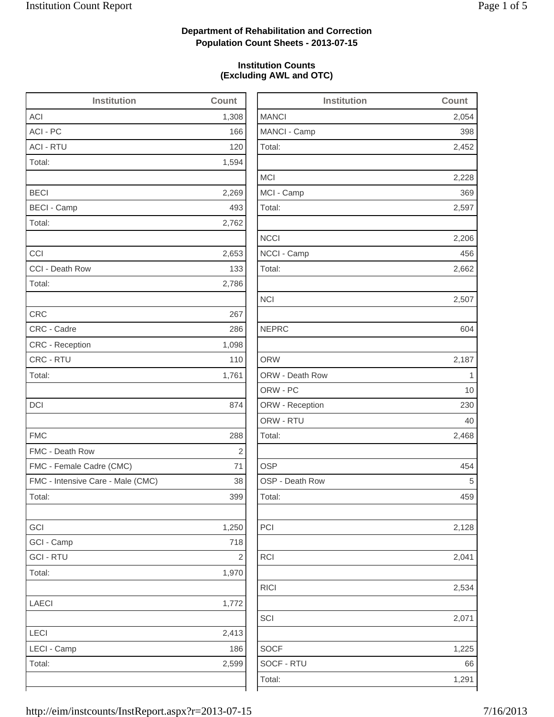2,452

2,228

2,206

2,662

2,128

2,534

1,225

### **Department of Rehabilitation and Correction Population Count Sheets - 2013-07-15**

### **Institution Counts (Excluding AWL and OTC)**

| <b>Institution</b>                | <b>Count</b>            | <b>Institution</b> | Count       |
|-----------------------------------|-------------------------|--------------------|-------------|
| <b>ACI</b>                        | 1,308                   | <b>MANCI</b>       | 2,054       |
| ACI - PC                          | 166                     | MANCI - Camp       | 398         |
| <b>ACI - RTU</b>                  | 120                     | Total:             | 2,452       |
| Total:                            | 1,594                   |                    |             |
|                                   |                         | <b>MCI</b>         | 2,228       |
| <b>BECI</b>                       | 2,269                   | MCI - Camp         | 369         |
| <b>BECI - Camp</b>                | 493                     | Total:             | 2,597       |
| Total:                            | 2,762                   |                    |             |
|                                   |                         | <b>NCCI</b>        | 2,206       |
| CCI                               | 2,653                   | NCCI - Camp        | 456         |
| CCI - Death Row                   | 133                     | Total:             | 2,662       |
| Total:                            | 2,786                   |                    |             |
|                                   |                         | <b>NCI</b>         | 2,507       |
| <b>CRC</b>                        | 267                     |                    |             |
| CRC - Cadre                       | 286                     | <b>NEPRC</b>       | 604         |
| <b>CRC</b> - Reception            | 1,098                   |                    |             |
| CRC - RTU                         | 110                     | <b>ORW</b>         | 2,187       |
| Total:                            | 1,761                   | ORW - Death Row    | $\mathbf 1$ |
|                                   |                         | ORW - PC           | 10          |
| <b>DCI</b>                        | 874                     | ORW - Reception    | 230         |
|                                   |                         | ORW - RTU          | 40          |
| <b>FMC</b>                        | 288                     | Total:             | 2,468       |
| FMC - Death Row                   | $\sqrt{2}$              |                    |             |
| FMC - Female Cadre (CMC)          | 71                      | <b>OSP</b>         | 454         |
| FMC - Intensive Care - Male (CMC) | 38                      | OSP - Death Row    | 5           |
| Total:                            | 399                     | Total:             | 459         |
| GCI                               | 1,250                   | PCI                | 2,128       |
| GCI - Camp                        | 718                     |                    |             |
| <b>GCI - RTU</b>                  | $\overline{\mathbf{c}}$ | <b>RCI</b>         | 2,041       |
| Total:                            | 1,970                   |                    |             |
|                                   |                         | <b>RICI</b>        | 2,534       |
| LAECI                             | 1,772                   |                    |             |
|                                   |                         | SCI                | 2,071       |
| LECI                              | 2,413                   |                    |             |
| LECI - Camp                       | 186                     | <b>SOCF</b>        | 1,225       |
| Total:                            | 2,599                   | SOCF - RTU         | 66          |
|                                   |                         | Total:             | 1,291       |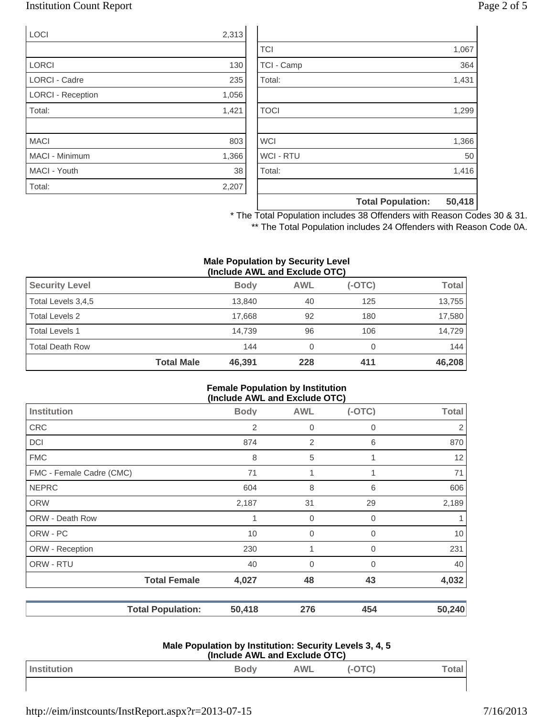### Institution Count Report Page 2 of 5

| <b>LOCI</b>              | 2,313 |
|--------------------------|-------|
|                          |       |
| <b>LORCI</b>             | 130   |
| <b>LORCI - Cadre</b>     | 235   |
| <b>LORCI - Reception</b> | 1,056 |
| Total:                   | 1,421 |
|                          |       |
| <b>MACI</b>              | 803   |
| <b>MACI - Minimum</b>    | 1,366 |
| MACI - Youth             | 38    |
| Total:                   | 2,207 |

|                  | <b>Total Population:</b> | 50,418 |
|------------------|--------------------------|--------|
|                  |                          |        |
| Total:           |                          | 1,416  |
| <b>WCI - RTU</b> |                          | 50     |
| <b>WCI</b>       |                          | 1,366  |
|                  |                          |        |
| <b>TOCI</b>      |                          | 1,299  |
|                  |                          |        |
| Total:           |                          | 1,431  |
| TCI - Camp       |                          | 364    |
| <b>TCI</b>       |                          | 1,067  |

\* The Total Population includes 38 Offenders with Reason Codes 30 & 31.

\*\* The Total Population includes 24 Offenders with Reason Code 0A.

#### **Male Population by Security Level (Include AWL and Exclude OTC)**

|                        | <b>Total Male</b> | 46,391      | 228        | 411      | 46,208       |
|------------------------|-------------------|-------------|------------|----------|--------------|
| <b>Total Death Row</b> |                   | 144         | 0          |          | 144          |
| <b>Total Levels 1</b>  |                   | 14.739      | 96         | 106      | 14.729       |
| Total Levels 2         |                   | 17.668      | 92         | 180      | 17,580       |
| Total Levels 3,4,5     |                   | 13.840      | 40         | 125      | 13,755       |
| <b>Security Level</b>  |                   | <b>Body</b> | <b>AWL</b> | $(-OTC)$ | <b>Total</b> |
|                        |                   |             |            |          |              |

### **Female Population by Institution (Include AWL and Exclude OTC)**

| <b>Institution</b>       |                          | <b>Body</b> | <b>AWL</b>  | $(-OTC)$    | <b>Total</b> |
|--------------------------|--------------------------|-------------|-------------|-------------|--------------|
| <b>CRC</b>               |                          | 2           | $\mathbf 0$ | 0           | 2            |
| <b>DCI</b>               |                          | 874         | 2           | 6           | 870          |
| <b>FMC</b>               |                          | 8           | 5           |             | 12           |
| FMC - Female Cadre (CMC) |                          | 71          | 1           |             | 71           |
| <b>NEPRC</b>             |                          | 604         | 8           | 6           | 606          |
| <b>ORW</b>               |                          | 2,187       | 31          | 29          | 2,189        |
| ORW - Death Row          |                          | 1           | $\mathbf 0$ | 0           |              |
| ORW - PC                 |                          | 10          | $\mathbf 0$ | $\mathbf 0$ | 10           |
| ORW - Reception          |                          | 230         | 1           | $\Omega$    | 231          |
| ORW - RTU                |                          | 40          | $\mathbf 0$ | 0           | 40           |
|                          | <b>Total Female</b>      | 4,027       | 48          | 43          | 4,032        |
|                          | <b>Total Population:</b> | 50,418      | 276         | 454         | 50,240       |

#### **Male Population by Institution: Security Levels 3, 4, 5 (Include AWL and Exclude OTC)**

| Instituting the | <b>WL</b> |  |
|-----------------|-----------|--|
|                 |           |  |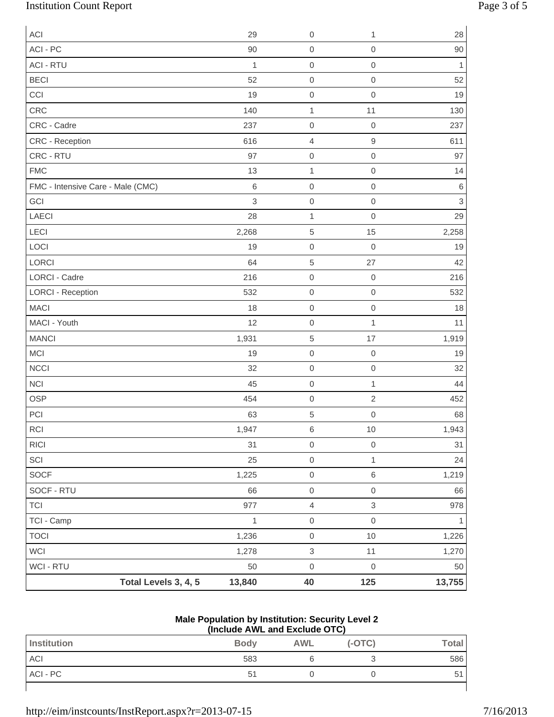# Institution Count Report Page 3 of 5

| ACI                               |                      | 29           | $\mathbf 0$         | 1                         | 28                        |
|-----------------------------------|----------------------|--------------|---------------------|---------------------------|---------------------------|
| ACI - PC                          |                      | 90           | $\mathbf 0$         | $\mathbf 0$               | 90                        |
| <b>ACI - RTU</b>                  |                      | $\mathbf{1}$ | $\mbox{O}$          | $\mathbf 0$               | 1                         |
| <b>BECI</b>                       |                      | 52           | $\mathbf 0$         | $\mathbf 0$               | 52                        |
| CCI                               |                      | 19           | $\mathbf 0$         | $\mathbf 0$               | 19                        |
| CRC                               |                      | 140          | $\mathbf{1}$        | 11                        | 130                       |
| CRC - Cadre                       |                      | 237          | $\mathbf 0$         | $\mathbf 0$               | 237                       |
| CRC - Reception                   |                      | 616          | $\overline{4}$      | 9                         | 611                       |
| CRC - RTU                         |                      | 97           | $\mbox{O}$          | $\mathbf 0$               | 97                        |
| <b>FMC</b>                        |                      | 13           | $\mathbf{1}$        | $\mathbf 0$               | 14                        |
| FMC - Intensive Care - Male (CMC) |                      | $\,6\,$      | $\mathbf 0$         | $\mathbf 0$               | $\,$ 6 $\,$               |
| GCI                               |                      | 3            | $\mbox{O}$          | $\mathbf 0$               | $\ensuremath{\mathsf{3}}$ |
| LAECI                             |                      | 28           | $\mathbf 1$         | $\mathbf 0$               | 29                        |
| LECI                              |                      | 2,268        | $\,$ 5 $\,$         | 15                        | 2,258                     |
| LOCI                              |                      | 19           | $\mathbf 0$         | $\mathbf 0$               | 19                        |
| LORCI                             |                      | 64           | $\,$ 5 $\,$         | 27                        | 42                        |
| <b>LORCI - Cadre</b>              |                      | 216          | $\mbox{O}$          | $\mathbf 0$               | 216                       |
| <b>LORCI - Reception</b>          |                      | 532          | $\mbox{O}$          | $\mathbf 0$               | 532                       |
| <b>MACI</b>                       |                      | 18           | $\mathbf 0$         | $\mathbf 0$               | 18                        |
| MACI - Youth                      |                      | 12           | $\mathbf 0$         | 1                         | 11                        |
| <b>MANCI</b>                      |                      | 1,931        | $\,$ 5 $\,$         | 17                        | 1,919                     |
| MCI                               |                      | 19           | $\mbox{O}$          | $\mathbf 0$               | 19                        |
| NCCI                              |                      | 32           | $\mbox{O}$          | $\mathbf 0$               | 32                        |
| <b>NCI</b>                        |                      | 45           | $\mathbf 0$         | $\mathbf{1}$              | 44                        |
| <b>OSP</b>                        |                      | 454          | $\mbox{O}$          | $\sqrt{2}$                | 452                       |
| PCI                               |                      | 63           | $\,$ 5 $\,$         | $\mathbf 0$               | 68                        |
| $\sf RCI$                         |                      | 1,947        | $\,6\,$             | $10$                      | 1,943                     |
| RICI                              |                      | 31           | $\mbox{O}$          | $\mathbf 0$               | 31                        |
| $\ensuremath{\mathsf{SCI}}$       |                      | 25           | $\mbox{O}$          | $\mathbf{1}$              | 24                        |
| SOCF                              |                      | 1,225        | $\mathsf{O}\xspace$ | $\,$ 6 $\,$               | 1,219                     |
| SOCF - RTU                        |                      | 66           | $\mathsf{O}\xspace$ | $\mathbf 0$               | 66                        |
| <b>TCI</b>                        |                      | 977          | $\overline{4}$      | $\ensuremath{\mathsf{3}}$ | 978                       |
| TCI - Camp                        |                      | 1            | $\mathsf{O}\xspace$ | $\,0\,$                   | 1                         |
| <b>TOCI</b>                       |                      | 1,236        | $\mbox{O}$          | 10                        | 1,226                     |
| WCI                               |                      | 1,278        | $\,3$               | 11                        | 1,270                     |
| WCI - RTU                         |                      | 50           | $\mbox{O}$          | $\mathbf 0$               | 50                        |
|                                   | Total Levels 3, 4, 5 | 13,840       | 40                  | 125                       | 13,755                    |

#### **Male Population by Institution: Security Level 2 (Include AWL and Exclude OTC)**

| Institution | <b>Body</b> | <b>AWL</b> | $(-OTC)$ | <b>Total</b> |
|-------------|-------------|------------|----------|--------------|
| ACI         | 583         |            |          | 586          |
| ACI - PC    | 5           |            |          | 51           |
|             |             |            |          |              |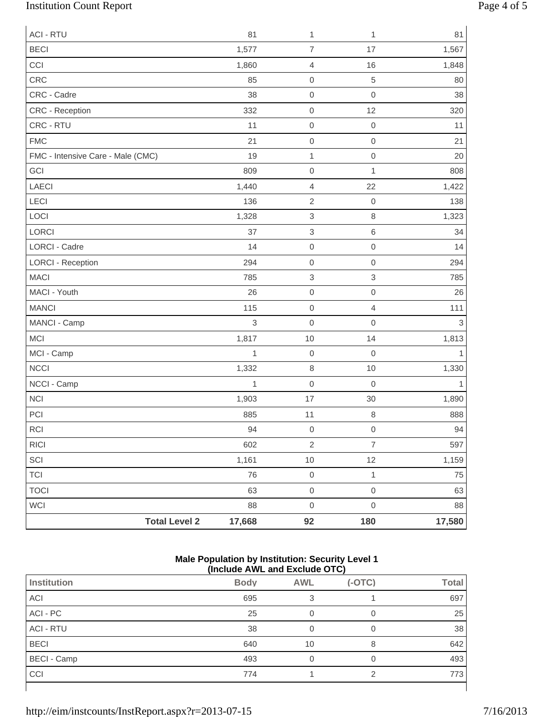# Institution Count Report Page 4 of 5

| <b>ACI - RTU</b>                  | 81           | 1                         | 1                | 81           |
|-----------------------------------|--------------|---------------------------|------------------|--------------|
| <b>BECI</b>                       | 1,577        | $\overline{7}$            | 17               | 1,567        |
| CCI                               | 1,860        | $\sqrt{4}$                | 16               | 1,848        |
| CRC                               | 85           | $\mathbf 0$               | $\sqrt{5}$       | 80           |
| CRC - Cadre                       | 38           | $\mathbf 0$               | $\mathbf 0$      | 38           |
| CRC - Reception                   | 332          | $\mbox{O}$                | 12               | 320          |
| CRC - RTU                         | 11           | $\mathbf 0$               | $\mathbf 0$      | 11           |
| <b>FMC</b>                        | 21           | $\mathbf 0$               | $\mathbf 0$      | 21           |
| FMC - Intensive Care - Male (CMC) | 19           | $\mathbf{1}$              | $\mathbf 0$      | 20           |
| GCI                               | 809          | $\mathbf 0$               | $\mathbf{1}$     | 808          |
| <b>LAECI</b>                      | 1,440        | $\sqrt{4}$                | 22               | 1,422        |
| LECI                              | 136          | $\sqrt{2}$                | $\mathbf 0$      | 138          |
| LOCI                              | 1,328        | $\ensuremath{\mathsf{3}}$ | $\,8\,$          | 1,323        |
| LORCI                             | 37           | $\,3$                     | $\,6\,$          | 34           |
| LORCI - Cadre                     | 14           | $\mathbf 0$               | $\mathbf 0$      | 14           |
| <b>LORCI - Reception</b>          | 294          | $\mathbf 0$               | $\mathbf 0$      | 294          |
| <b>MACI</b>                       | 785          | $\,$ 3 $\,$               | 3                | 785          |
| MACI - Youth                      | 26           | $\mathsf{O}\xspace$       | $\mbox{O}$       | 26           |
| <b>MANCI</b>                      | 115          | $\mathbf 0$               | $\overline{4}$   | 111          |
| MANCI - Camp                      | 3            | $\mathbf 0$               | $\mathbf 0$      | 3            |
| <b>MCI</b>                        | 1,817        | 10                        | 14               | 1,813        |
| MCI - Camp                        | 1            | $\mathbf 0$               | $\boldsymbol{0}$ | 1            |
| <b>NCCI</b>                       | 1,332        | $\,8\,$                   | 10               | 1,330        |
| NCCI - Camp                       | $\mathbf{1}$ | $\mathsf{O}\xspace$       | $\mathbf 0$      | $\mathbf{1}$ |
| <b>NCI</b>                        | 1,903        | 17                        | 30               | 1,890        |
| PCI                               | 885          | 11                        | $\,8\,$          | 888          |
| <b>RCI</b>                        | 94           | $\mathsf{O}\xspace$       | $\mathbf 0$      | 94           |
| <b>RICI</b>                       | 602          | $\overline{2}$            | $\overline{7}$   | 597          |
| SCI                               | 1,161        | $10$                      | 12               | 1,159        |
| <b>TCI</b>                        | 76           | $\mathsf{O}\xspace$       | $\mathbf{1}$     | 75           |
| <b>TOCI</b>                       | 63           | $\mathsf{O}\xspace$       | $\mbox{O}$       | 63           |
| WCI                               | 88           | $\mathsf{O}\xspace$       | $\mbox{O}$       | 88           |
| <b>Total Level 2</b>              | 17,668       | 92                        | 180              | 17,580       |

#### **Male Population by Institution: Security Level 1 (Include AWL and Exclude OTC)**

|                    | .           | .          | - .      |              |
|--------------------|-------------|------------|----------|--------------|
| <b>Institution</b> | <b>Body</b> | <b>AWL</b> | $(-OTC)$ | <b>Total</b> |
| ACI                | 695         |            |          | 697          |
| ACI - PC           | 25          |            | 0        | 25           |
| <b>ACI - RTU</b>   | 38          |            |          | 38           |
| <b>BECI</b>        | 640         | 10         | 8        | 642          |
| <b>BECI - Camp</b> | 493         |            | 0        | 493          |
| CCI                | 774         |            | ⌒        | 773          |
|                    |             |            |          |              |